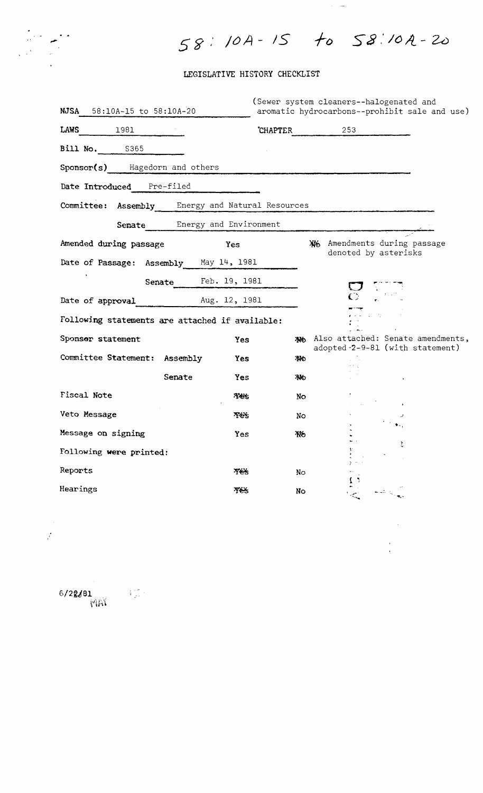# 58:10A-15 to 58:10A-20

 $\hat{\mathcal{A}}_{\text{max}}$ 

 $\mathcal{L}^{\text{max}}_{\text{max}}$ 

 $\frac{1}{\sqrt{2}}$ 

### LEGISLATIVE HISTORY CHECKLIST

| NJSA<br>58:10A-15 to 58:10A-20                   | (Sewer system cleaners--halogenated and<br>aromatic hydrocarbons--prohibit sale and use) |
|--------------------------------------------------|------------------------------------------------------------------------------------------|
| LAWS<br>1981                                     | 253<br><b>CHAPTER</b>                                                                    |
| <b>Bill No.</b> S365                             |                                                                                          |
| Sponsor(s) Hagedorn and others                   |                                                                                          |
| Date Introduced Pre-filed                        |                                                                                          |
| Committee: Assembly Energy and Natural Resources |                                                                                          |
| Senate Energy and Environment                    |                                                                                          |
| Amended during passage<br>Yes                    | XX6 Amendments during passage<br>denoted by asterisks                                    |
| Date of Passage: Assembly May 14, 1981           |                                                                                          |
| Senate Feb. 19, 1981                             |                                                                                          |
| Date of approval Aug. 12, 1981                   |                                                                                          |
| Following statements are attached if available:  |                                                                                          |
| Sponsor statement<br>Yes                         | No Also attached: Senate amendments,<br>adopted -2-9-81 (with statement)                 |
| Committee Statement: Assembly<br>Yes             | 44                                                                                       |
| Senate<br>Yes                                    | ΆЮ                                                                                       |
| <b>Fiscal Note</b><br>Yes.                       | No                                                                                       |
| Veto Message<br>Yes.                             | No.                                                                                      |
| Message on signing<br>Yes                        | Жб                                                                                       |
| Following were printed:                          | Ł                                                                                        |
| Reports<br><b>Tes</b>                            | No.                                                                                      |
| Hearings<br><b>Yes</b>                           | No                                                                                       |

 $6/2$ g $J$ 81 1  $\mathcal{W} \rightarrow \mathcal{W}$ 

 $\mathcal{J}^{\pm}$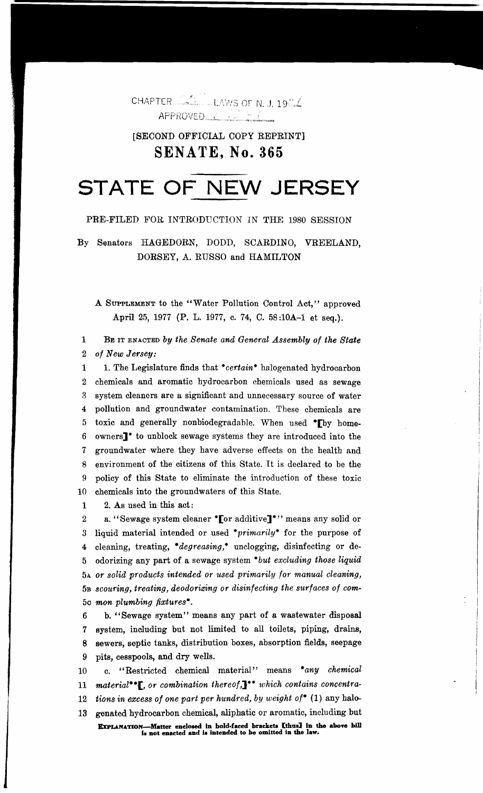CHAPTER **CARLO LAWS OF N. J. 1904** APPROVED COMPANY

## **ISECOND OFFICIAL COPY REPRINT] SENATE. No. 365**

# STATE OF NEW JERSEY

#### PRE-FILED FOR INTRODUCTION IN THE 1980 SESSION

By Senators HAGEDORN, DODD, SCARDINO, VREELAND, DORSEY, A. RUSSO and HAMILTON

A SUPPLEMENT to the "Water Pollution Control Act," approved April 25, 1977 (P. L. 1977, c. 74, C. 58:10A-1 et seq.).

1 BE IT ENACTED by the Senate and General Assembly of the State  $\overline{2}$ of New Jersey:

1. The Legislature finds that \*certain\* halogenated hydrocarbon  $\mathbf{1}$ chemicals and aromatic hydrocarbon chemicals used as sewage  $\overline{2}$ system cleaners are a significant and unnecessary source of water  $\mathbf{R}$ pollution and groundwater contamination. These chemicals are  $\overline{4}$ toxic and generally nonbiodegradable. When used \*Fby home- $5\overline{)}$ 6 owners]<sup>\*</sup> to unblock sewage systems they are introduced into the groundwater where they have adverse effects on the health and 7 environment of the citizens of this State. It is declared to be the 8 policy of this State to eliminate the introduction of these toxic 9 chemicals into the groundwaters of this State.  $10<sub>1</sub>$ 

2. As used in this act: 1

a. "Sewage system cleaner \*[or additive]\*" means any solid or  $\overline{2}$ 3 liquid material intended or used \*primarily\* for the purpose of cleaning, treating, \*degreasing,\* unclogging, disinfecting or de- $\overline{\textbf{4}}$ odorizing any part of a sewage system \*but excluding those liquid  $\mathbf{5}$ 5A or solid products intended or used primarily for manual cleaning, 5B scouring, treating, deodorizing or disinfecting the surfaces of com-50 mon plumbing fixtures\*.

b. "Sewage system" means any part of a wastewater disposal  $6\phantom{.}6$ system, including but not limited to all toilets, piping, drains, 7 sewers, septic tanks, distribution boxes, absorption fields, seepage 8 9 pits, cesspools, and dry wells.

c. "Restricted chemical material" means \*any chemical  $10<sub>1</sub>$ 11 material\*\***F**, or combination thereof, 1\*\* which contains concentra-12 tions in excess of one part per hundred, by weight of\* (1) any halo-13 genated hydrocarbon chemical, aliphatic or aromatic, including but EXPLANATION—Matter enclosed in bold-faced brackets [thus] in the above bill<br>is not enacted and is intended to be omitted in the law.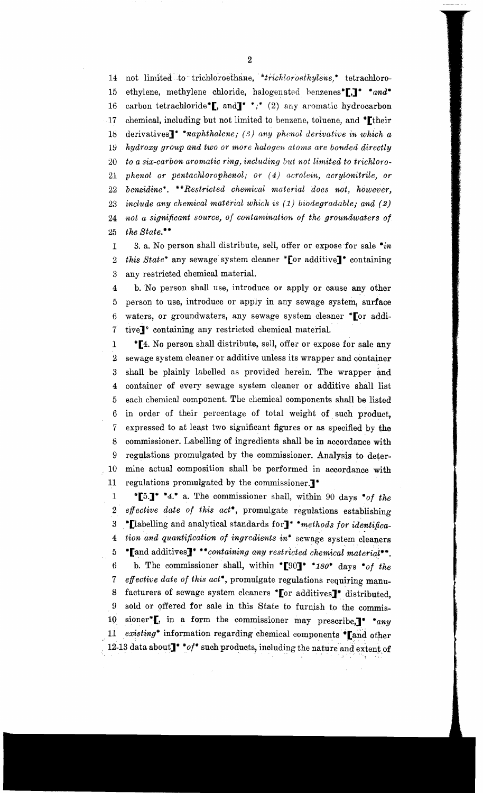14 not limited to trichloroethane, \*trichloroethylene,\* tetrachloro-15 ethylene, methylene chloride, halogenated henzenes\*[,]<sup>\*</sup> \*and\* 16 carbon tetrachloride\*[, and]\* \*;\* (2) any aromatic hydrocarbon 17 chemical, including but not limited to benzene, toluene, and \*Itheir 18 derivatives]" *"naphthalene;* (8) *any phenol derivative in which a 19 hydroxy group and two or more halogen atoms are bonded directly*  20 to a six-carbon aromatic ring, including but not limited to trichloro-21 *phenol or pentachlorophenol*; or (4) *acrolein*, *acrylonitrile*, or 22 *benzidine\*.* \*\*Restricted chemical material does not, however, *23 include any chemical material which* is (1) *biodegradable; and (2)*  24 *not a significant source, of contamination of the groundwaters of*  25 *the State."'"'* 

1 3. a. No person shall distribute, sell, offer or expose for sale *"'in*  2 *this State\** any sewage system cleaner \* [or additive]\* containing 3 any restricted chemical material.

4 b.N0 person shall use, introduce or apply or cause any other 5 person to use, introduce or apply in any sewage system, surface 6 waters, or groundwaters, any sewage system cleaner \* or addi-7 tive]~' containing any restricted chemical material.

1 \***[4.** No person shall distribute, sell, offer or expose for sale any 2 sewage system cleaner or additive unless its wrapper and container 3 shall be plainly labelled as provided herein. The wrapper and 4 container of every sewage system cleaner or additive shall list 5 each chemical component. The chemical components shall be listed 6 in order of their percentage of total weight of such product, 7 expressed to at least two significant figures or as specified by the 8 commissioner. Labelling of ingredients shall be in accordance with 9 regulations promulgated by the commissioner. Analysis to deter-10 mine actual composition shall be performed in accordance with 11 regulations promulgated by the commissioner.]"'

1 \***[5.]\* \*4.\*** a. The commissioner shall, within 90 days \*of the 2 *effective date of this act"',* promulgate regulations establishing 3 ."'[labelling and analytical standards for]" *·methods for identifica-*4 *tion and' quantification of ingredients in·* sewage system cieaners 5 "Land additives]" \*\**containing any restricted chemical material*". 6 b. The commissioner shall, within "[90]" \*180\* days \*of the *7 effective date of this act\**, promulgate regulations requiring manu-8 facturers of sewage system cleaners \* $\llbracket$ or additives $\rrbracket^*$  distributed, 9 sold or offered for sale in this State to furnish to the commis-10 sioner\***[**, in a form the commissioner may prescribe,]<sup>\*</sup> \*any 11 *existing*\* information regarding chemical components \* [and other 12-13 data about]" "of" such products, including the nature and extent of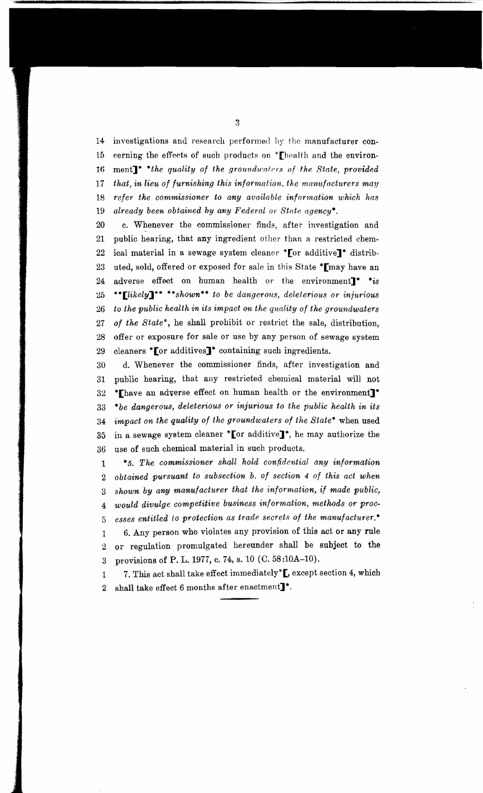14 investigations and research performed by the manufacturer con-15 cerning the effects of such products on  $*$ [health and the environ-16 ment]<sup>\*</sup> \*the quality of the groundwaters of the State, provided 17 that, in lieu of furnishing this information, the manufacturers may 18 *refer the commissioner to any available information which has 19 already been obtained by any Federal or State agency·,* 

20 c. Whenever the commissioner finds, after investigation and 21 public hearing, that any ingredient other than a restricted chem-22 ical material in a sewage system cleaner \* [or additive]\* distrib-23 uted, sold, offered or exposed for sale in this State \*[may have an 24 adverse effect on human health or the environment<sup>\*</sup> \*is 25 \*\***[likely]\*\*** \*\*shown\*\* to be dangerous, deleterious or injurious 26 to the public health in its impact on the quality of the groundwaters *27 of the State\*,* he shall prohibit or restrict the sale, distribution, 28 offer or exposure for sale or use by any person of sewage system 29 cleaners **\*** [or additives]<sup>\*</sup> containing such ingredients.

30 d. Whenever the commissioner finds, after investigation and 31 public hearing, that any restricted chemical material will not  $32$  \*Thave an adverse effect on human health or the environment]\* *33 "'be dangerous, deleterious or injurious to the public health in its 34 impact on the quality of the groundwaters of the State·* when used 35 in a sewage system cleaner \* [or additive]\*, he may authorize the 36 use of such chemical material in such products.

1 *·s. The commissioner shall hold confidential any information*  2 *obtained pU*1*'suant to subsection b. of section* 4 *of this act when 3 shown by any manufacturer that the infonnation, if made public,*  4 *would divulge competitive business information, methods or proc-*5 *esses entitled to protection as trade. secrets of the manufacturer.·*  1 6. Any person who violates any provision of this act or any rule 2 or regulation promulgated hereunder shall be subject to the 3 provisions of P. L.1977, c. 74, s. 10 (C. *58:10A-10).* 

1 7. This act shall take effect immediately\*[, except section 4, which 2 shall take effect 6 months after enactment $\mathbb{I}^*$ .

3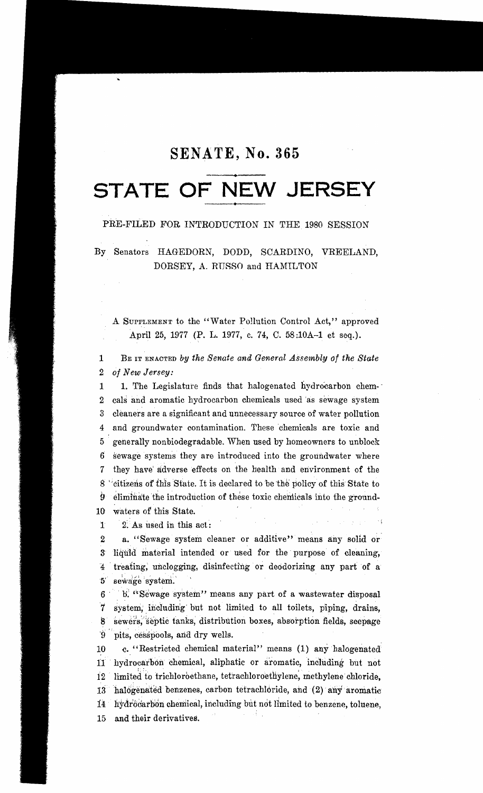# SENATE, No. 365

# STATE OF NEW JERSEY

### PRE-FILED FOR INTRODUCTION IN THE 1980 SESSION

By Senators HAGEDORN, DODD, SCARDINO, VREELAND, DORSEY, A. RUSSO and HAMILTON

A SUPPLEMENT to the "Water Pollution Control Act," approved April 25, 1977 (P. L. 1977, c. 74, C. 58:10A-1 et seq.).

 $\mathbf{1}$ BE IT ENACTED by the Senate and General Assembly of the State 2 of New Jersey:

 $\mathbf{1}$ 1. The Legislature finds that halogenated hydrocarbon chem-2 cals and aromatic hydrocarbon chemicals used as sewage system 3 cleaners are a significant and unnecessary source of water pollution 4 and groundwater contamination. These chemicals are toxic and 5 generally nonbiodegradable. When used by homeowners to unblock 6 sewage systems they are introduced into the groundwater where 7 they have adverse effects on the health and environment of the 8 "citizens of this State. It is declared to be the policy of this State to  $9$  eliminate the introduction of these toxic chemicals into the ground-10 waters of this State.

2. As used in this act:  $\mathbf{I}$ 

 $\boldsymbol{2}$ a. "Sewage system cleaner or additive" means any solid or 3 liquid material intended or used for the purpose of cleaning, 4 treating, unclogging, disinfecting or deodorizing any part of a 5 sewage system.

6 b. "Sewage system" means any part of a wastewater disposal system, including but not limited to all toilets, piping, drains,  $7^{\circ}$ sewers, septic tanks, distribution boxes, absorption fields, seepage  $8^{\circ}$ 9 pits, cesspools, and dry wells.

c. "Restricted chemical material" means (1) any halogenated 10 11 hydrocarbon chemical, aliphatic or aromatic, including but not 12 limited to trichloroethane, tetrachloroethylene, methylene chloride, 13 halogenated benzenes, carbon tetrachloride, and (2) any aromatic 14 hydrocarbon chemical, including but not limited to benzene, toluene, 15 and their derivatives.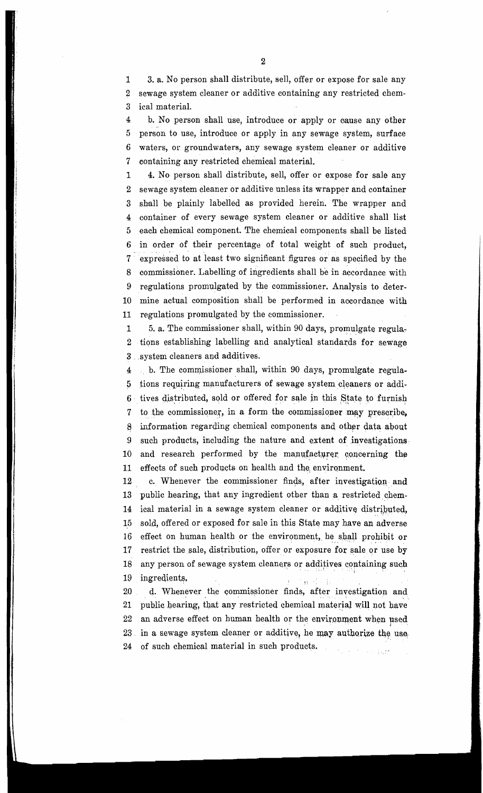1 3. a. No person shall distribute, sell, offer or expose for sale any 2 sewage system cleaner or additive containing any restricted chem-3 ical material.

4 b. No person shall use, introduce or apply or eause any other 5 person to use, introduce or apply in any sewage system, surface 6 waters, or groundwaters, any sewage system cleaner or additive 7 containing any restricted chemical material.

1 4. No person shall distribute, sell, offer or expose for sale any 2 sewage system cleaner or additive unless its wrapper and container 3 shall be plainly labelled as provided herein. The wrapper and 4 container of every sewage system cleaner or additive shall list 5 each chemical component. The chemical components shall be listed 6 in order of their percentage of total weight of such product,  $7$  expressed to at least two significant figures or as specified by the expressed to at least two significant figures or as specified by the 8 commissioner. Labelling of ingredients shall be in accordance with 9 regulations promulgated by the commissioner. Analysis to deter~ 10 mine actual composition shall be performed in accordance with 11 regulations promulgated by the commissioner.

1 5. a. The commissioner shall, within 90 days, promulgate regula-2 tions establishing labelling and analytical standards for sewage 3 . system cleaners and additives.

 $4$  b. The commissioner shall, within 90 days, promulgate regula- $5$  tions requiring manufacturers of sewage system cleaners or addi-6 tives distributed, sold or offered for sale in this State to furnish 7 to the commissioner, in a form the commissioner may prescribe, 8 information regarding chemical components and other data about 9 such products, including the nature and extent of investigations. 10 and research performed by the manufacturer concerning the 11 effects of such products on health and the environment.

12 c. Whenever the commissioner finds, after investigation and 13 public hearing, that any ingredient other than a restricted chem-14 ical material in a sewage system cleaner or additive distributed, 15 sold, offered or exposed for sale in tbis State may have an adverse 16 effect on human health or the environment, he shall prohibit or 17 restrict the sale, distribution, offer or exposure for sale or use by 18 any person of sewage system cleaners or additives containing such 19 ingredients.

20 d. Whenever the commissioner finds, after investigation and 21 public hearing, that any restricted chemical material will not have public hearing, that any restricted chemical material will not have 22 an adverse effect on human health or the environment when used 23 in a sewage system cleaner or additive, he may authorize the use in a sewage system cleaner or additive, he may authorize the use. 24 of such chemical material in such products.  $\hat{c}_\alpha$  ,  $\hat{c}_\beta$  ,  $\hat{c}_\beta$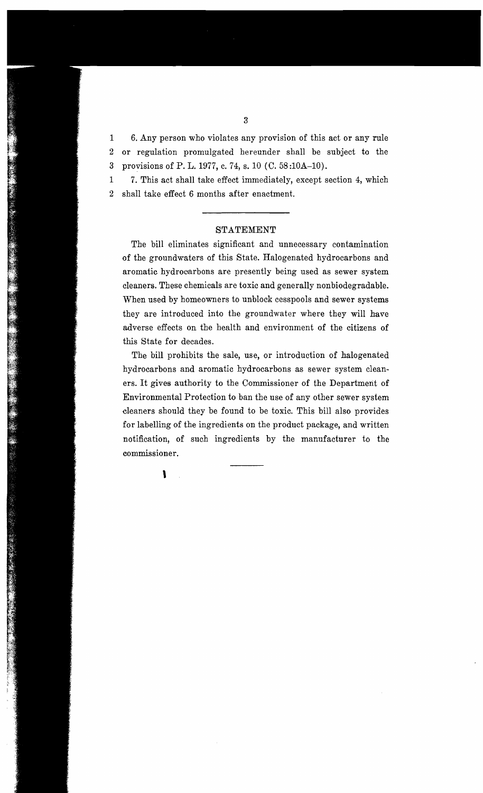1 6. Any person who violates any provision of this act or any rule 2 or regulation promulgated hereunder shall be subject to the 3 provisions of P. L.1977, c. 74, s. 10 (0. 58:10A-10).

1 7. This act shall take effect immediately, except section 4, which 2 shall take effect 6 months after enactment.

#### STATEMENT

The bill eliminates significant and unnecessary contamination of the groundwaters of this State. Halogenated hydrocarbons and aromatic hydrocarbons are presently being used as sewer system cleaners. These chemicals are toxic and generally nonbiodegradable. When used by homeowners to unblock cesspools and sewer systems they are introduced into the groundwater where they will have adverse effects on the health and environment of the citizens of this State for decades.

The bill prohibits the sale, use, or introduction of halogenated hydrocarbons and aromatic hydrocarbons as sewer system cleaners. It gives authority to the Commissioner of the Department of Environmental Protection to ban the use of any other sewer system cleaners should they be found to be toxic. This bill also provides for labelling of the ingredients on the product package, and written notification, of such ingredients by the manufacturer to the commissioner.

 $\mathbf{I}$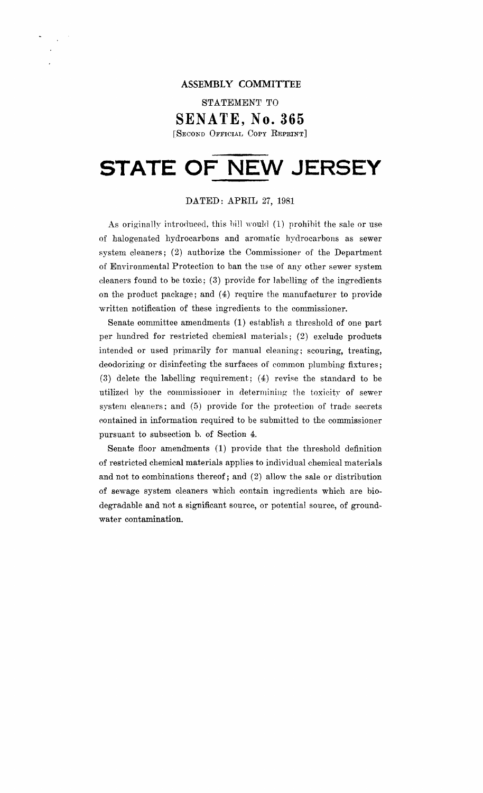### **ASSEMBLY COMMITTEE**

STATEMENT TO

### **SENATE, No. 365**

[SECOND OFFICIAL COpy REPRINT]

# **STATE OF NEW JERSEY**

### DATED: APRIL 27, 1981

As originally introduced, this bill would  $(1)$  prohibit the sale or use of halogenated hydrocarbons and aromatic hydrocarbons as sewer system cleaners; (2) authorize the Commissioner of the Department of Environmental Protection to ban the use of any other sewer system cleaners found to be toxic; (3) provide for labelling of the ingredients on the product package; and (4) require the manufacturer to provide written notification of these ingredients to the commissioner.

Senate committee amendments (1) establish a threshold of one part per hundred for restricted chemical materials; (2) exclude products intended or used primarily for manual cleaning; scouring, treating, deodorizing or disinfecting the surfaces of common plumbing fixtures;  $(3)$  delete the labelling requirement;  $(4)$  revise the standard to be utilized by the commissioner in determining the toxicity of sewer system cleaners; and (5) provide for the protection of trade secrets contained in information required to be submitted to the commissioner pursuant to subsection b. of Section 4.

Senate floor amendments (1) provide that the threshold definition of restricted chemical materials applies to individual chemical materials and not to combinations thereof; and (2) allow the sale or distribution of sewage system cleaners which contain ingredients which are biodegradable and not a significant source, or potential source, of groundwater contamination.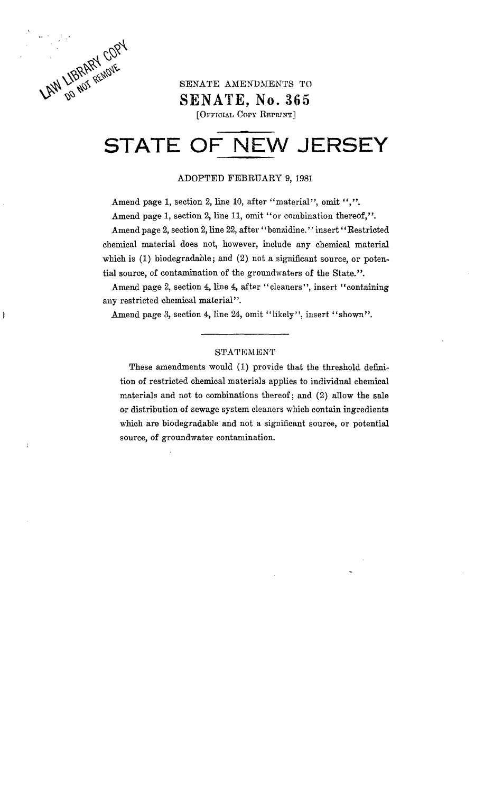LAW LIBRARY COPY

 $\mathbf{\ddot{}}$ 

# SENATE AMENDMENTS TO **SENATE, No. 365**

[OFFICIAL COPY REPRINT]

# **STATE OF NEW JERSEY**

#### ADOPTED FEBRUARY 9,1981

Amend page 1, section 2, line 10, after "material", omit ",".

Amend page 1, section 2, line 11, omit "or combination thereof,".

Amend page 2, section 2, line 22, after "benzidine." insert "Restricted chemical material does not, however, include any chemical material which is (1) biodegradable; and (2) not a significant source, or potential source, of contamination of the groundwaters of the State. ".

Amend page 2, section 4, line 4, after "cleaners", insert "containing any restricted chemical material".

Amend page 3, section 4, line 24, omit "likely", insert "shown".

### STATEMENT

These amendments would (1) provide that the threshold definition of restricted chemical materials applies to individual chemical materials and not to combinations thereof; and (2) allow the sale or distribution of sewage system cleaners which contain ingredients which are biodegradable and not a significant source, or potential source, of groundwater contamination.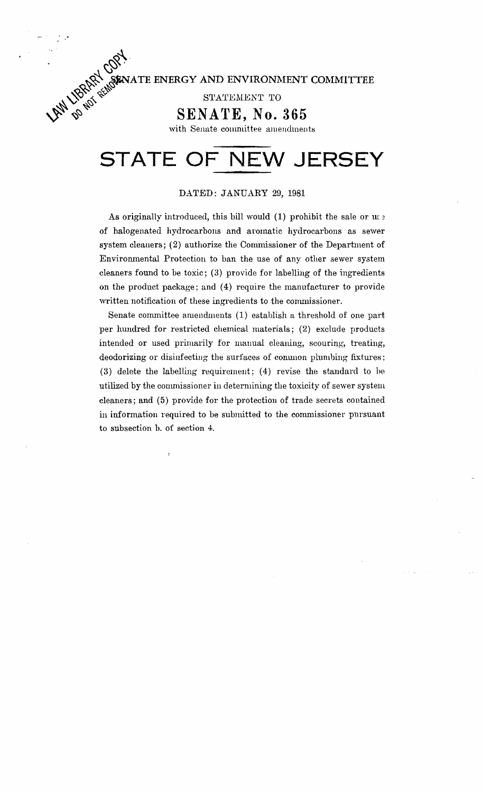~ATE **ENERGY AND ENVIRONMENT COMMITTEE** 

 $\mathcal{N}^{\vee}$  statement to

 $^{\prime}\!\phi_{\!S}$  .

 $\sim$   $\sim$ 

~~~~~ **SENATE, No. 365** 

with Senate committee amendments

# **STATE OF NEW JERSEY**

#### DATED: JANUARY 29, 1981

As originally introduced, this bill would  $(1)$  prohibit the sale or  $\mathfrak{u}$ : of halogenated hydrocarbons and aromatic hydrocarbons as sewer system cleaners; (2) authorize the Commissioner of the Department of Environmental Protection to ban the use of any other sewer system cleaners found to be toxic; (3) provide for labelling of the ingredients on the product package; and (4) require the manufacturer to provide written notification of these ingredients to the commissioner.

Senate committee amendments (1) establish a threshold of one part per hundred for restricted chemical materials; (2) exclude products intended or used primarily for manual cleaning, scouring, treating, deodorizing or disinfecting the surfaces of conunon plumbing fixtures: (3) delete the labelling requirement; (4) revise the standard to he utilized by the commissioner in determining the toxicity of sewer system cleaners; and (5) provide for the protection of trade secrets contained in information required to be submitted to the commissioner pursuant to subsection h. of section 4.

ł